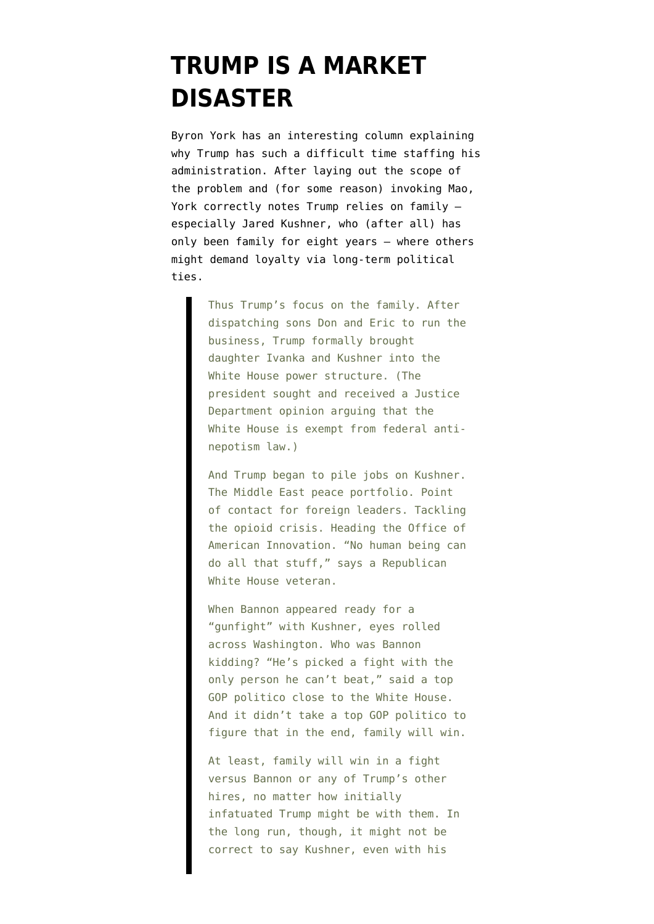## **[TRUMP IS A MARKET](https://www.emptywheel.net/2017/04/13/trump-is-a-market-disaster/) [DISASTER](https://www.emptywheel.net/2017/04/13/trump-is-a-market-disaster/)**

Byron York has an interesting [column](http://www.washingtonexaminer.com/byron-york-donald-trumps-long-march-problem/article/2620147?) explaining why Trump has such a difficult time staffing his administration. After laying out the scope of the problem and (for some reason) invoking Mao, York correctly notes Trump relies on family especially Jared Kushner, who (after all) has only been family for eight years — where others might demand loyalty via long-term political ties.

> Thus Trump's focus on the family. After dispatching sons Don and Eric to run the business, Trump formally brought daughter Ivanka and Kushner into the White House power structure. (The president sought and received a Justice Department opinion arguing that the White House is exempt from federal antinepotism law.)

> And Trump began to pile jobs on Kushner. The Middle East peace portfolio. Point of contact for foreign leaders. Tackling the opioid crisis. Heading the Office of American Innovation. "No human being can do all that stuff," says a Republican White House veteran.

> When Bannon appeared ready for a "gunfight" with Kushner, eyes rolled across Washington. Who was Bannon kidding? "He's picked a fight with the only person he can't beat," said a top GOP politico close to the White House. And it didn't take a top GOP politico to figure that in the end, family will win.

At least, family will win in a fight versus Bannon or any of Trump's other hires, no matter how initially infatuated Trump might be with them. In the long run, though, it might not be correct to say Kushner, even with his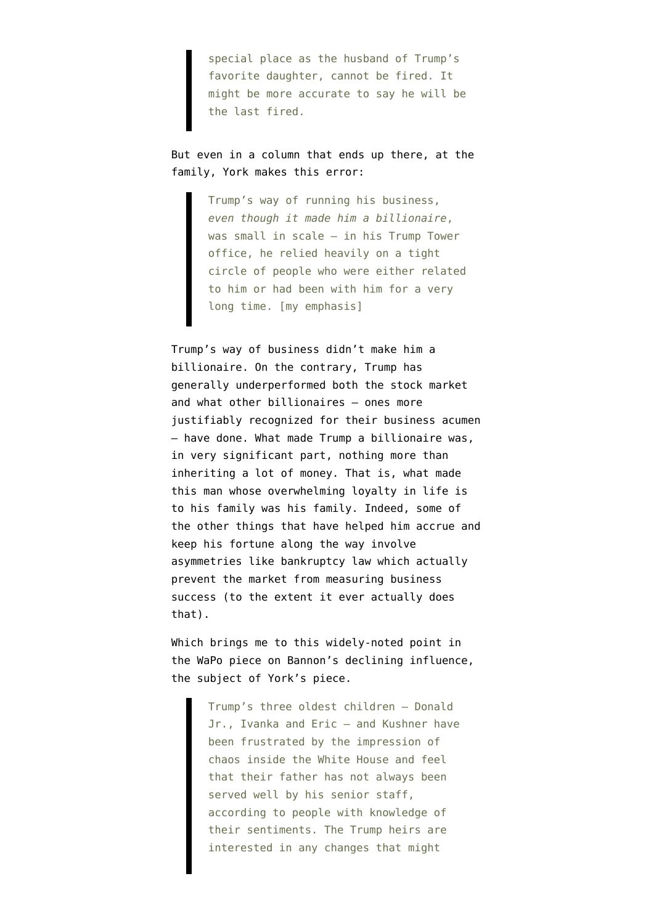special place as the husband of Trump's favorite daughter, cannot be fired. It might be more accurate to say he will be the last fired.

But even in a column that ends up there, at the family, York makes this error:

> Trump's way of running his business, *even though it made him a billionaire*, was small in scale — in his Trump Tower office, he relied heavily on a tight circle of people who were either related to him or had been with him for a very long time. [my emphasis]

Trump's way of business didn't make him a billionaire. On the contrary, Trump has generally [underperformed](http://fortune.com/2015/08/20/donald-trump-index-funds/) both the stock market and what other billionaires — ones more justifiably recognized for their business acumen — have done. What made Trump a billionaire was, in very significant part, nothing more than inheriting a lot of money. That is, what made this man whose overwhelming loyalty in life is to his family was his family. Indeed, some of the other things that have helped him accrue and keep his fortune along the way involve asymmetries like bankruptcy law which actually prevent the market from measuring business success (to the extent it ever actually does that).

Which brings me to this widely-noted point in the [WaPo piece](https://www.washingtonpost.com/politics/inside-bannons-struggle-from-shadow-president-to-trumps-marked-man/2017/04/12/1f5aabc0-1f99-11e7-ad74-3a742a6e93a7_story.html?utm_term=.de6ddda8f2a6) on Bannon's declining influence, the subject of York's piece.

> Trump's three oldest children — Donald Jr., Ivanka and Eric — and Kushner have been frustrated by the impression of chaos inside the White House and feel that their father has not always been served well by his senior staff, according to people with knowledge of their sentiments. The Trump heirs are interested in any changes that might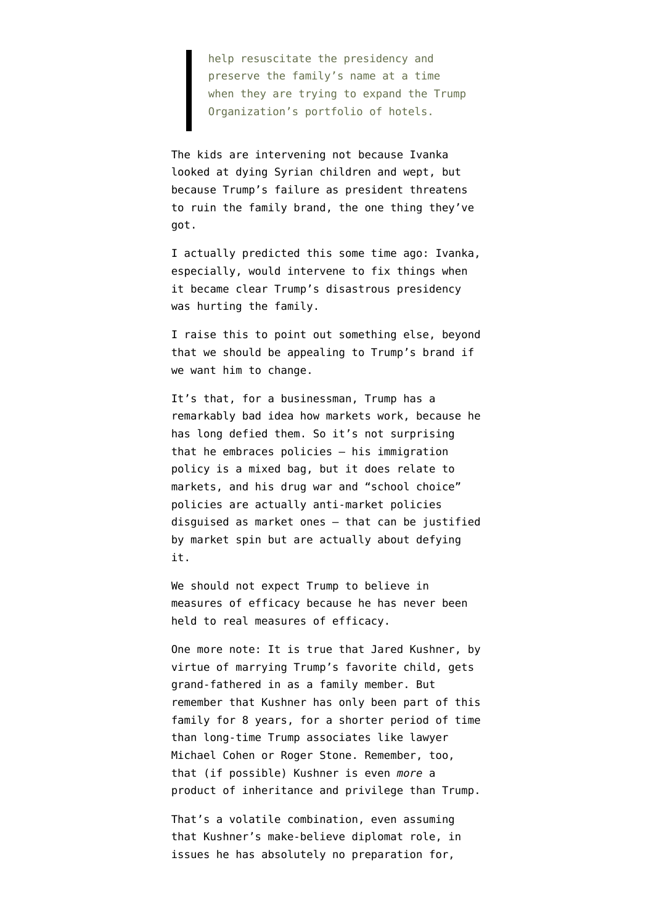help resuscitate the presidency and preserve the family's name at a time when they are trying to expand the Trump Organization's portfolio of hotels.

The kids are intervening not because Ivanka looked at dying Syrian children and wept, but because Trump's failure as president threatens to ruin the family brand, the one thing they've got.

I actually predicted this some time ago: Ivanka, especially, would intervene to fix things when it became clear Trump's disastrous presidency was hurting the family.

I raise this to point out something else, beyond that we should be appealing to Trump's brand if we want him to change.

It's that, for a businessman, Trump has a remarkably bad idea how markets work, because he has long defied them. So it's not surprising that he embraces policies — his immigration policy is a mixed bag, but it does relate to markets, and his drug war and "school choice" policies are actually anti-market policies disguised as market ones — that can be justified by market spin but are actually about defying it.

We should not expect Trump to believe in measures of efficacy because he has never been held to real measures of efficacy.

One more note: It is true that Jared Kushner, by virtue of marrying Trump's favorite child, gets grand-fathered in as a family member. But remember that Kushner has only been part of this family for 8 years, for a shorter period of time than long-time Trump associates like lawyer Michael Cohen or Roger Stone. Remember, too, that (if possible) Kushner is even *more* a product of inheritance and privilege than Trump.

That's a volatile combination, even assuming that Kushner's make-believe diplomat role, in issues he has absolutely no preparation for,